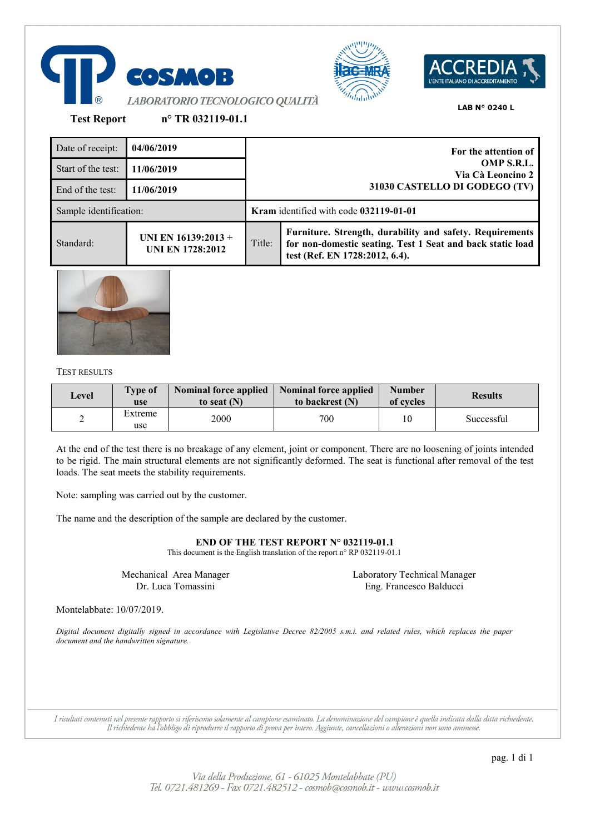





**Test Report n° TR 032119-01.1**

| Date of receipt:       | 04/06/2019                                     |                                                                  | For the attention of                                                                                                                                     |  |
|------------------------|------------------------------------------------|------------------------------------------------------------------|----------------------------------------------------------------------------------------------------------------------------------------------------------|--|
| Start of the test:     | 11/06/2019                                     | OMP S.R.L.<br>Via Cà Leoncino 2<br>31030 CASTELLO DI GODEGO (TV) |                                                                                                                                                          |  |
| End of the test:       | 11/06/2019                                     |                                                                  |                                                                                                                                                          |  |
| Sample identification: |                                                | <b>Kram</b> identified with code 032119-01-01                    |                                                                                                                                                          |  |
| Standard:              | UNI EN 16139:2013 +<br><b>UNI EN 1728:2012</b> | Title:                                                           | Furniture. Strength, durability and safety. Requirements<br>for non-domestic seating. Test 1 Seat and back static load<br>test (Ref. EN 1728:2012, 6.4). |  |



## TEST RESULTS

| Level | <b>Type of</b><br>use | <b>Nominal force applied</b><br>to seat $(N)$ | <b>Nominal force applied</b><br>to backrest (N) | <b>Number</b><br>of cycles | <b>Results</b> |
|-------|-----------------------|-----------------------------------------------|-------------------------------------------------|----------------------------|----------------|
| ∸     | Extreme<br>use        | 2000                                          | 700                                             | 10                         | Successful     |

At the end of the test there is no breakage of any element, joint or component. There are no loosening of joints intended to be rigid. The main structural elements are not significantly deformed. The seat is functional after removal of the test loads. The seat meets the stability requirements.

Note: sampling was carried out by the customer.

The name and the description of the sample are declared by the customer.

**END OF THE TEST REPORT N° 032119-01.1**

This document is the English translation of the report n° RP 032119-01.1

Mechanical Area Manager Dr. Luca Tomassini

Laboratory Technical Manager Eng. Francesco Balducci

Montelabbate: 10/07/2019.

*Digital document digitally signed in accordance with Legislative Decree 82/2005 s.m.i. and related rules, which replaces the paper document and the handwritten signature.*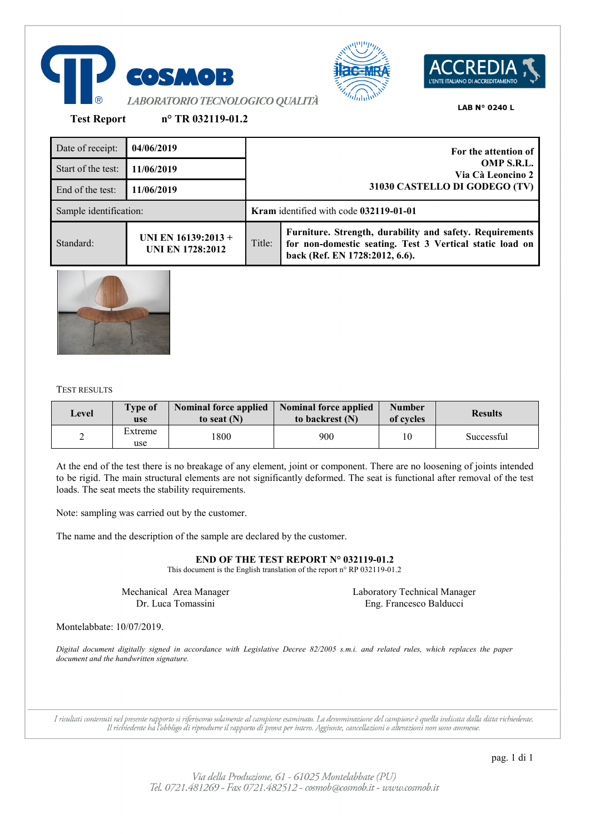





**Test Report n° TR 032119-01.2**

| Date of receipt:       | 04/06/2019                                       |                                 | For the attention of                                                                                                                                   |
|------------------------|--------------------------------------------------|---------------------------------|--------------------------------------------------------------------------------------------------------------------------------------------------------|
| Start of the test:     | 11/06/2019                                       | OMP S.R.L.<br>Via Cà Leoncino 2 |                                                                                                                                                        |
| End of the test:       | 11/06/2019                                       |                                 | 31030 CASTELLO DI GODEGO (TV)                                                                                                                          |
| Sample identification: |                                                  |                                 | Kram identified with code 032119-01-01                                                                                                                 |
| Standard:              | UNI EN $16139:2013 +$<br><b>UNI EN 1728:2012</b> | Title:                          | Furniture. Strength, durability and safety. Requirements<br>for non-domestic seating. Test 3 Vertical static load on<br>back (Ref. EN 1728:2012, 6.6). |



#### TEST RESULTS

| Level | <b>Type of</b><br>use | <b>Nominal force applied</b><br>to seat $(N)$ | <b>Nominal force applied</b><br>to backrest (N) | <b>Number</b><br>of cycles | <b>Results</b> |
|-------|-----------------------|-----------------------------------------------|-------------------------------------------------|----------------------------|----------------|
| ∼     | Extreme<br>use        | !800                                          | 900                                             | 10                         | Successful     |

At the end of the test there is no breakage of any element, joint or component. There are no loosening of joints intended to be rigid. The main structural elements are not significantly deformed. The seat is functional after removal of the test loads. The seat meets the stability requirements.

Note: sampling was carried out by the customer.

The name and the description of the sample are declared by the customer.

**END OF THE TEST REPORT N° 032119-01.2**

This document is the English translation of the report n° RP 032119-01.2

Mechanical Area Manager Dr. Luca Tomassini

Laboratory Technical Manager Eng. Francesco Balducci

Montelabbate: 10/07/2019.

*Digital document digitally signed in accordance with Legislative Decree 82/2005 s.m.i. and related rules, which replaces the paper document and the handwritten signature.*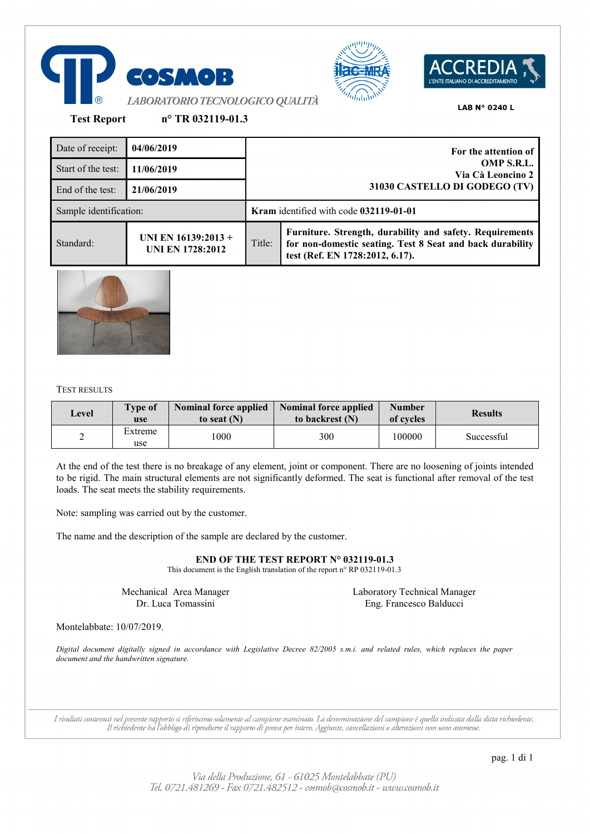





**Test Report n° TR 032119-01.3**

| Date of receipt:       | 04/06/2019                                     |                                 | For the attention of                                                                                                                                     |
|------------------------|------------------------------------------------|---------------------------------|----------------------------------------------------------------------------------------------------------------------------------------------------------|
| Start of the test:     | 11/06/2019                                     | OMP S.R.L.<br>Via Cà Leoncino 2 |                                                                                                                                                          |
| End of the test:       | 21/06/2019                                     |                                 | 31030 CASTELLO DI GODEGO (TV)                                                                                                                            |
| Sample identification: |                                                |                                 | Kram identified with code 032119-01-01                                                                                                                   |
| Standard:              | UNI EN 16139:2013 +<br><b>UNI EN 1728:2012</b> | Title:                          | Furniture. Strength, durability and safety. Requirements<br>for non-domestic seating. Test 8 Seat and back durability<br>test (Ref. EN 1728:2012, 6.17). |



#### TEST RESULTS

| Level | <b>Type of</b><br>use | <b>Nominal force applied</b><br>to seat $(N)$ | <b>Nominal force applied</b><br>to backrest (N) | <b>Number</b><br>of cycles | <b>Results</b> |
|-------|-----------------------|-----------------------------------------------|-------------------------------------------------|----------------------------|----------------|
| ∸     | Extreme<br>use        | 1000                                          | 300                                             | 100000                     | Successful     |

At the end of the test there is no breakage of any element, joint or component. There are no loosening of joints intended to be rigid. The main structural elements are not significantly deformed. The seat is functional after removal of the test loads. The seat meets the stability requirements.

Note: sampling was carried out by the customer.

The name and the description of the sample are declared by the customer.

**END OF THE TEST REPORT N° 032119-01.3**

This document is the English translation of the report n° RP 032119-01.3

Mechanical Area Manager Dr. Luca Tomassini

Laboratory Technical Manager Eng. Francesco Balducci

Montelabbate: 10/07/2019.

*Digital document digitally signed in accordance with Legislative Decree 82/2005 s.m.i. and related rules, which replaces the paper document and the handwritten signature.*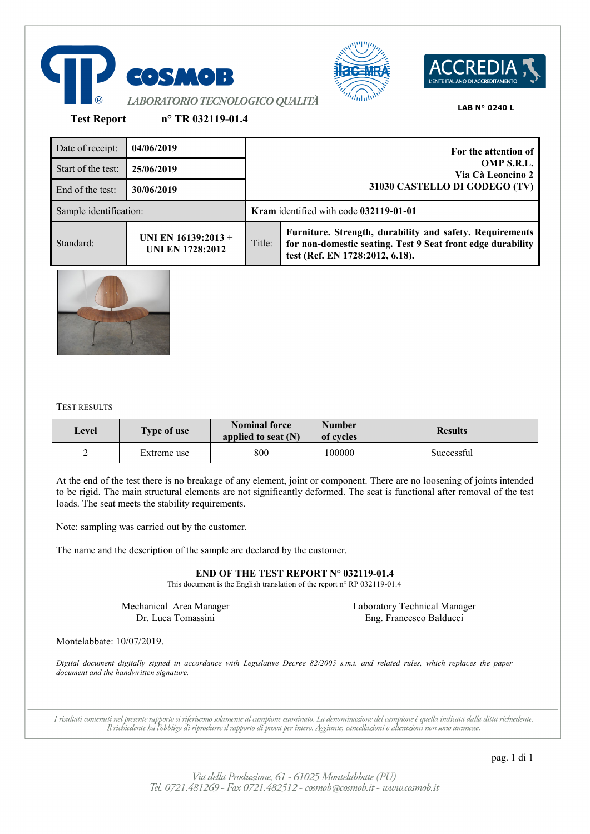





**Test Report n° TR 032119-01.4**

| Date of receipt:       | 04/06/2019                                     |                                 | For the attention of                                                                                                                                       |
|------------------------|------------------------------------------------|---------------------------------|------------------------------------------------------------------------------------------------------------------------------------------------------------|
| Start of the test:     | 25/06/2019                                     | OMP S.R.L.<br>Via Cà Leoncino 2 |                                                                                                                                                            |
| End of the test:       | 30/06/2019                                     |                                 | 31030 CASTELLO DI GODEGO (TV)                                                                                                                              |
| Sample identification: |                                                |                                 | <b>Kram</b> identified with code 032119-01-01                                                                                                              |
| Standard:              | UNI EN 16139:2013 +<br><b>UNI EN 1728:2012</b> | Title:                          | Furniture. Strength, durability and safety. Requirements<br>for non-domestic seating. Test 9 Seat front edge durability<br>test (Ref. EN 1728:2012, 6.18). |



## TEST RESULTS

| Level | <b>Type of use</b> | <b>Nominal force</b><br>applied to seat $(N)$ | <b>Number</b><br>of cycles | <b>Results</b> |
|-------|--------------------|-----------------------------------------------|----------------------------|----------------|
| ∸     | Extreme use        | 800                                           | 100000                     | Successful     |

At the end of the test there is no breakage of any element, joint or component. There are no loosening of joints intended to be rigid. The main structural elements are not significantly deformed. The seat is functional after removal of the test loads. The seat meets the stability requirements.

Note: sampling was carried out by the customer.

The name and the description of the sample are declared by the customer.

## **END OF THE TEST REPORT N° 032119-01.4**

This document is the English translation of the report n° RP 032119-01.4

Mechanical Area Manager Dr. Luca Tomassini

Laboratory Technical Manager Eng. Francesco Balducci

Montelabbate: 10/07/2019.

*Digital document digitally signed in accordance with Legislative Decree 82/2005 s.m.i. and related rules, which replaces the paper document and the handwritten signature.*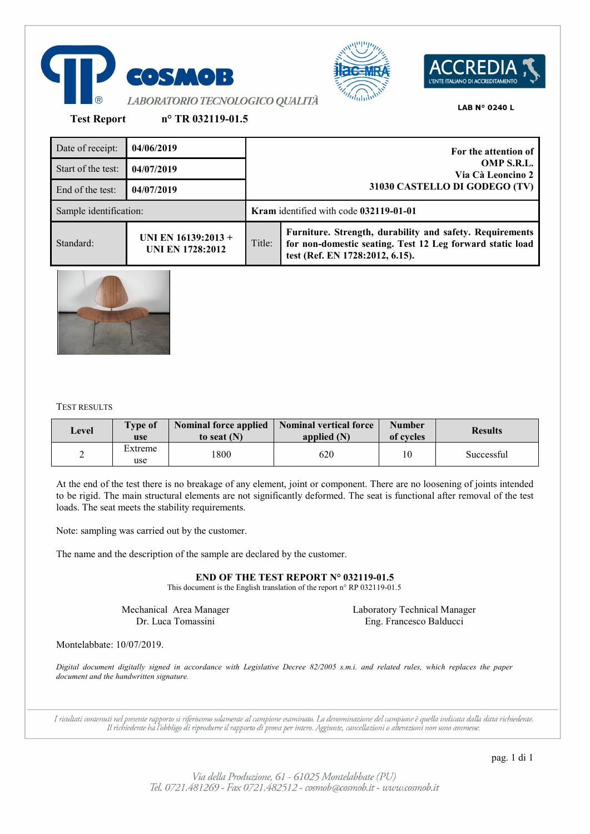





**Test Report n° TR 032119-01.5**

Date of receipt: **04/06/2019 For the attention of OMP S.R.L. Via Cà Leoncino 2 31030 CASTELLO DI GODEGO (TV)** Start of the test: **04/07/2019** End of the test: **04/07/2019** Sample identification: **Kram** identified with code **032119-01-01** Standard: **UNI EN 16139:2013 + UNI EN 1728:2012** Title: **Furniture. Strength, durability and safety. Requirements for non-domestic seating. Test 12 Leg forward static load test (Ref. EN 1728:2012, 6.15).**



# TEST RESULTS

| Level | <b>Type of</b><br>use | <b>Nominal force applied</b><br>to seat $(N)$ | <b>Nominal vertical force</b><br>applied (N) | <b>Number</b><br>of cycles | <b>Results</b> |
|-------|-----------------------|-----------------------------------------------|----------------------------------------------|----------------------------|----------------|
| ∸     | Extreme<br>use        | 1800                                          | 620                                          | 10                         | Successful     |

At the end of the test there is no breakage of any element, joint or component. There are no loosening of joints intended to be rigid. The main structural elements are not significantly deformed. The seat is functional after removal of the test loads. The seat meets the stability requirements.

Note: sampling was carried out by the customer.

The name and the description of the sample are declared by the customer.

**END OF THE TEST REPORT N° 032119-01.5**

This document is the English translation of the report n° RP 032119-01.5

Mechanical Area Manager Dr. Luca Tomassini

Laboratory Technical Manager Eng. Francesco Balducci

Montelabbate: 10/07/2019.

*Digital document digitally signed in accordance with Legislative Decree 82/2005 s.m.i. and related rules, which replaces the paper document and the handwritten signature.*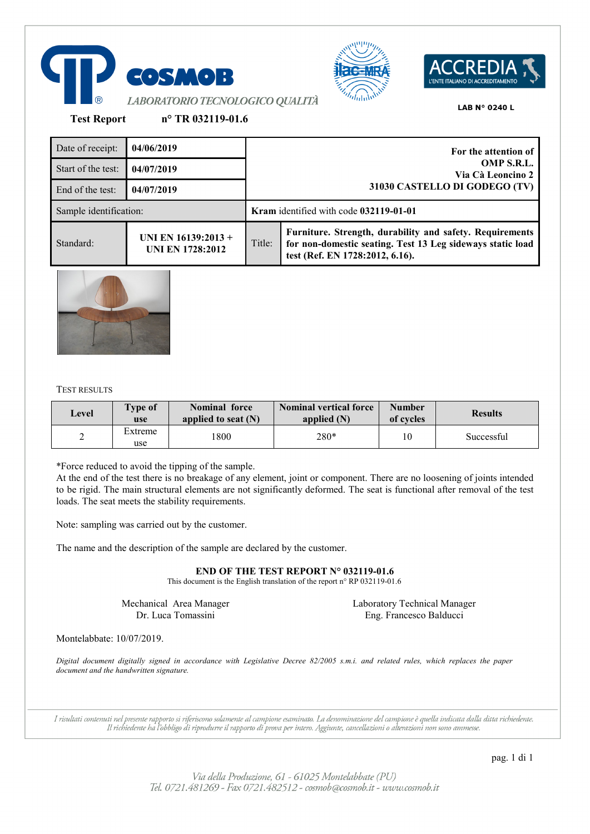





**Test Report n° TR 032119-01.6**

Date of receipt: **04/06/2019 For the attention of OMP S.R.L. Via Cà Leoncino 2 31030 CASTELLO DI GODEGO (TV)** Start of the test: **04/07/2019** End of the test: **04/07/2019** Sample identification: **Kram** identified with code **032119-01-01** Standard: **UNI EN 16139:2013 + UNI EN 1728:2012** Title: **Furniture. Strength, durability and safety. Requirements for non-domestic seating. Test 13 Leg sideways static load test (Ref. EN 1728:2012, 6.16).**



TEST RESULTS

| Level | <b>Type of</b><br>use | <b>Nominal force</b><br>applied to seat $(N)$ | <b>Nominal vertical force</b><br>applied $(N)$ | <b>Number</b><br>of cycles | <b>Results</b> |
|-------|-----------------------|-----------------------------------------------|------------------------------------------------|----------------------------|----------------|
| ∸     | Extreme<br>use        | '800                                          | 280*                                           | 10                         | Successful     |

\*Force reduced to avoid the tipping of the sample.

At the end of the test there is no breakage of any element, joint or component. There are no loosening of joints intended to be rigid. The main structural elements are not significantly deformed. The seat is functional after removal of the test loads. The seat meets the stability requirements.

Note: sampling was carried out by the customer.

The name and the description of the sample are declared by the customer.

**END OF THE TEST REPORT N° 032119-01.6**

This document is the English translation of the report n° RP 032119-01.6

Mechanical Area Manager Dr. Luca Tomassini

Laboratory Technical Manager Eng. Francesco Balducci

Montelabbate: 10/07/2019.

*Digital document digitally signed in accordance with Legislative Decree 82/2005 s.m.i. and related rules, which replaces the paper document and the handwritten signature.*

I risultati contenuti nel presente rapporto si riferiscono solamente al campione esaminato. La denominazione del campione è quella indicata dalla ditta richiedente. Il richiedente ha l'obbligo di riprodurre il rapporto di prova per intero. Aggiunte, cancellazioni o alterazioni non sono ammesse.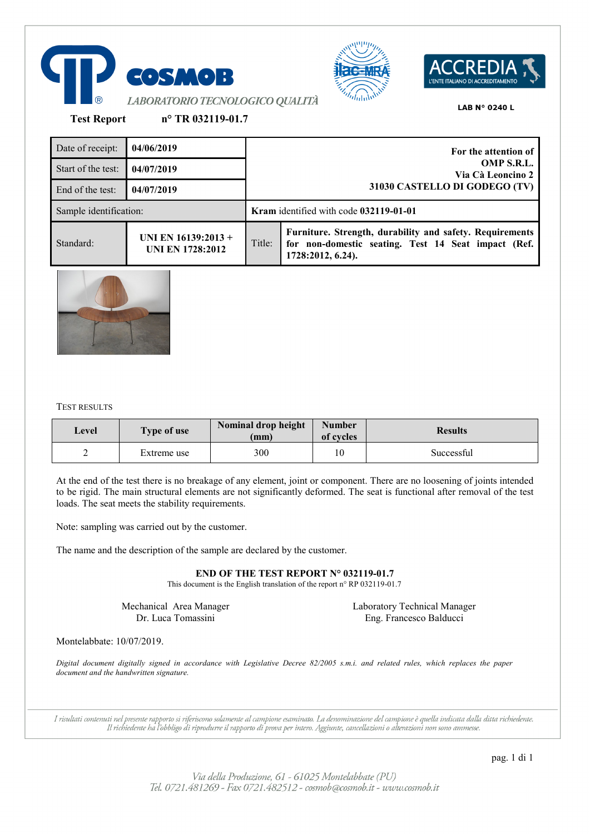





**Test Report n° TR 032119-01.7**

| Date of receipt:       | 04/06/2019                                     |                                 | For the attention of                                                                                                                 |
|------------------------|------------------------------------------------|---------------------------------|--------------------------------------------------------------------------------------------------------------------------------------|
| Start of the test:     | 04/07/2019                                     | OMP S.R.L.<br>Via Cà Leoncino 2 |                                                                                                                                      |
| End of the test:       | 04/07/2019                                     |                                 | 31030 CASTELLO DI GODEGO (TV)                                                                                                        |
| Sample identification: |                                                |                                 | Kram identified with code 032119-01-01                                                                                               |
| Standard:              | UNI EN 16139:2013 +<br><b>UNI EN 1728:2012</b> | Title:                          | Furniture. Strength, durability and safety. Requirements<br>for non-domestic seating. Test 14 Seat impact (Ref.<br>1728:2012, 6.24). |



## TEST RESULTS

| Level | <b>Type of use</b> | Nominal drop height<br>(mm) | <b>Number</b><br>of cycles | <b>Results</b> |
|-------|--------------------|-----------------------------|----------------------------|----------------|
| ∸     | Extreme use        | 300                         | 10                         | Successful     |

At the end of the test there is no breakage of any element, joint or component. There are no loosening of joints intended to be rigid. The main structural elements are not significantly deformed. The seat is functional after removal of the test loads. The seat meets the stability requirements.

Note: sampling was carried out by the customer.

The name and the description of the sample are declared by the customer.

# **END OF THE TEST REPORT N° 032119-01.7**

This document is the English translation of the report n° RP 032119-01.7

Mechanical Area Manager Dr. Luca Tomassini

Laboratory Technical Manager Eng. Francesco Balducci

Montelabbate: 10/07/2019.

*Digital document digitally signed in accordance with Legislative Decree 82/2005 s.m.i. and related rules, which replaces the paper document and the handwritten signature.*